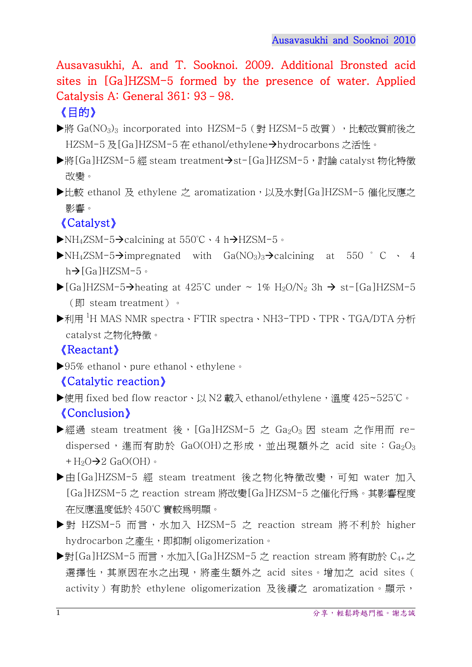Ausavasukhi, A. and T. Sooknoi. 2009. Additional Bronsted acid sites in [Ga]HZSM-5 formed by the presence of water. Applied Catalysis A: General 361: 93–98.

## 《目的》

- ▶將 Ga(NO<sub>3</sub>)<sub>3</sub> incorporated into HZSM-5 (對 HZSM-5 改質), 比較改質前後之 HZSM-5 及[Ga]HZSM-5 在 ethanol/ethylene→hydrocarbons 之活性。
- ▶將[Ga]HZSM-5 經 steam treatment→st-[Ga]HZSM-5,討論 catalyst 物化特徵 改變。
- ▶比較 ethanol 及 ethylene 之 aromatization,以及水對[Ga]HZSM-5 催化反應之 影響。

## 《Catalyst》

- $\blacktriangleright$ NH<sub>4</sub>ZSM-5 $\rightarrow$ calcining at 550°C  $\cdot$  4 h $\rightarrow$ HZSM-5  $\circ$
- $\blacktriangleright$  NH<sub>4</sub>ZSM-5 $\rightarrow$ impregnated with Ga(NO<sub>3</sub>)<sub>3</sub> $\rightarrow$  calcining at 550 ° C  $\cdot$  4  $h\rightarrow$  [Ga]HZSM-5。
- $\blacktriangleright$  [Ga]HZSM-5 $\rightarrow$ heating at 425°C under  $\sim$  1% H<sub>2</sub>O/N<sub>2</sub> 3h  $\rightarrow$  st-[Ga]HZSM-5 (即 steam treatment)。
- ▶利用 <sup>1</sup>H MAS NMR spectra、FTIR spectra、NH3-TPD、TPR、TGA/DTA 分析 catalyst 之物化特徵。

## 《Reactant》

▶95% ethanol、pure ethanol、ethylene。

## 《Catalytic reaction》

- ▶使用 fixed bed flow reactor、以 N2 載入 ethanol/ethylene,溫度 425~525℃。 《Conclusion》
- ▶經過 steam treatment 後, [Ga]HZSM-5 之 Ga<sub>2</sub>O<sub>3</sub> 因 steam 之作用而 redispersed,進而有助於 GaO(OH)之形成,並出現額外之 acid site: Ga2O3  $+H_2O\rightarrow 2$  GaO(OH)  $\circ$
- ▶由[Ga]HZSM-5 經 steam treatment 後之物化特徵改變,可知 water 加入 [Ga]HZSM-5 之 reaction stream 將改變[Ga]HZSM-5 之催化行為。其影響程度 在反應溫度低於 450°C 實較為明顯。
- ▶對 HZSM-5 而言,水加入 HZSM-5 之 reaction stream 將不利於 higher hydrocarbon 之產生, 即抑制 oligomerization。
- ▶對[Ga]HZSM-5 而言,水加入[Ga]HZSM-5 之 reaction stream 將有助於 C<sub>4+</sub>之 選擇性,其原因在水之出現,將產生額外之 acid sites。增加之 acid sites ( activity)有助於 ethylene oligomerization 及後續之 aromatization。顯示,